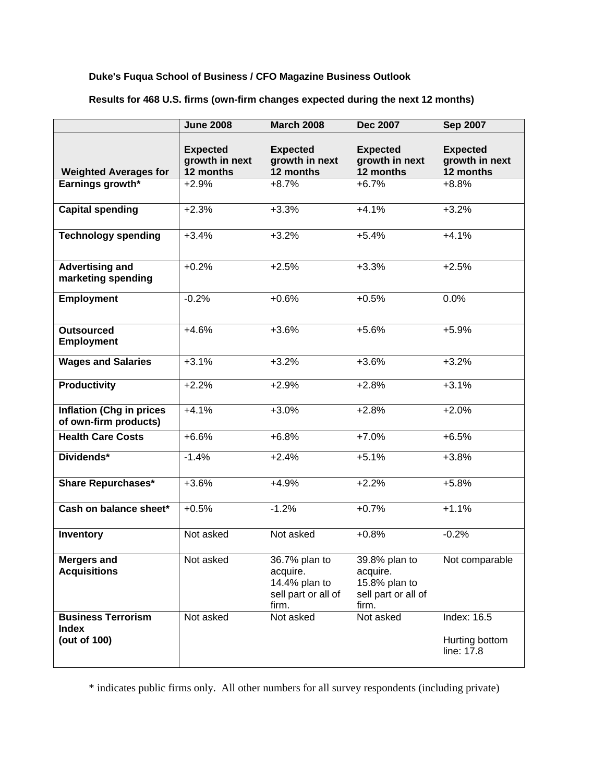### **Duke's Fuqua School of Business / CFO Magazine Business Outlook**

|                                                           | <b>June 2008</b>                               | <b>March 2008</b>                                                          | <b>Dec 2007</b>                                                            | <b>Sep 2007</b>                                |
|-----------------------------------------------------------|------------------------------------------------|----------------------------------------------------------------------------|----------------------------------------------------------------------------|------------------------------------------------|
| <b>Weighted Averages for</b>                              | <b>Expected</b><br>growth in next<br>12 months | <b>Expected</b><br>growth in next<br>12 months                             | <b>Expected</b><br>growth in next<br>12 months                             | <b>Expected</b><br>growth in next<br>12 months |
| Earnings growth*                                          | $+2.9%$                                        | $+8.7%$                                                                    | $+6.7%$                                                                    | $+8.8%$                                        |
| <b>Capital spending</b>                                   | $+2.3%$                                        | $+3.3%$                                                                    | $+4.1%$                                                                    | $+3.2%$                                        |
| <b>Technology spending</b>                                | $+3.4%$                                        | $+3.2%$                                                                    | $+5.4%$                                                                    | $+4.1%$                                        |
| <b>Advertising and</b><br>marketing spending              | $+0.2%$                                        | $+2.5%$                                                                    | $+3.3%$                                                                    | $+2.5%$                                        |
| <b>Employment</b>                                         | $-0.2%$                                        | $+0.6%$                                                                    | $+0.5%$                                                                    | 0.0%                                           |
| <b>Outsourced</b><br><b>Employment</b>                    | $+4.6%$                                        | $+3.6%$                                                                    | $+5.6%$                                                                    | $+5.9%$                                        |
| <b>Wages and Salaries</b>                                 | $+3.1%$                                        | $+3.2%$                                                                    | $+3.6%$                                                                    | $+3.2%$                                        |
| <b>Productivity</b>                                       | $+2.2%$                                        | $+2.9%$                                                                    | $+2.8%$                                                                    | $+3.1%$                                        |
| <b>Inflation (Chg in prices</b><br>of own-firm products)  | $+4.1%$                                        | $+3.0%$                                                                    | $+2.8%$                                                                    | $+2.0%$                                        |
| <b>Health Care Costs</b>                                  | $+6.6%$                                        | $+6.8%$                                                                    | $+7.0%$                                                                    | $+6.5%$                                        |
| Dividends*                                                | $-1.4%$                                        | $+2.4%$                                                                    | $+5.1%$                                                                    | $+3.8%$                                        |
| <b>Share Repurchases*</b>                                 | $+3.6%$                                        | $+4.9%$                                                                    | $+2.2%$                                                                    | $+5.8%$                                        |
| Cash on balance sheet*                                    | $+0.5%$                                        | $-1.2%$                                                                    | $+0.7%$                                                                    | $+1.1%$                                        |
| Inventory                                                 | Not asked                                      | Not asked                                                                  | $+0.8%$                                                                    | $-0.2%$                                        |
| <b>Mergers and</b><br><b>Acquisitions</b>                 | Not asked                                      | 36.7% plan to<br>acquire.<br>14.4% plan to<br>sell part or all of<br>firm. | 39.8% plan to<br>acquire.<br>15.8% plan to<br>sell part or all of<br>firm. | Not comparable                                 |
| <b>Business Terrorism</b><br><b>Index</b><br>(out of 100) | Not asked                                      | Not asked                                                                  | Not asked                                                                  | Index: $16.5$<br>Hurting bottom<br>line: 17.8  |

**Results for 468 U.S. firms (own-firm changes expected during the next 12 months)** 

\* indicates public firms only. All other numbers for all survey respondents (including private)